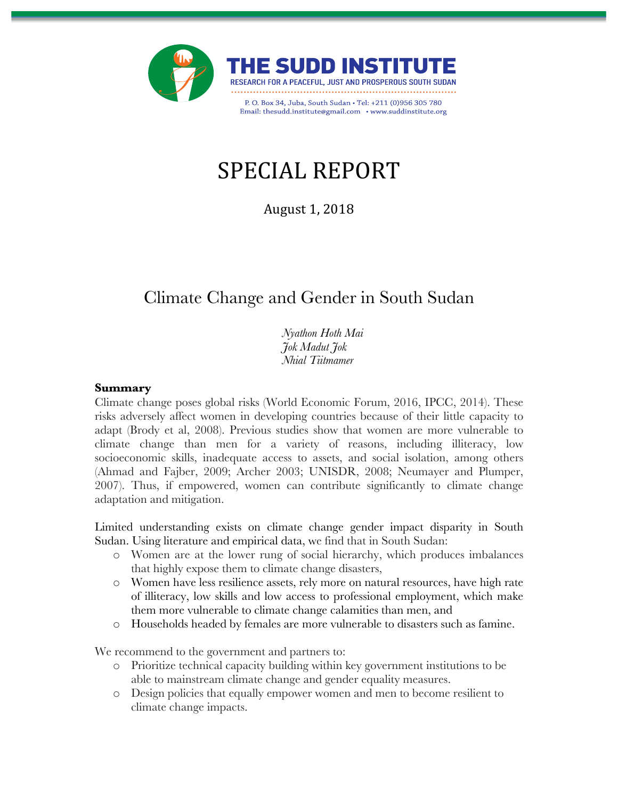

# SPECIAL REPORT

August 1, 2018

# Climate Change and Gender in South Sudan

St *Nyathon Hoth Mai Jok Madut Jok Nhial Tiitmamer*

#### **Summary**

Climate change poses global risks (World Economic Forum, 2016, IPCC, 2014). These risks adversely affect women in developing countries because of their little capacity to adapt (Brody et al, 2008). Previous studies show that women are more vulnerable to climate change than men for a variety of reasons, including illiteracy, low socioeconomic skills, inadequate access to assets, and social isolation, among others (Ahmad and Fajber, 2009; Archer 2003; UNISDR, 2008; Neumayer and Plumper, 2007). Thus, if empowered, women can contribute significantly to climate change adaptation and mitigation.

Limited understanding exists on climate change gender impact disparity in South Sudan. Using literature and empirical data, we find that in South Sudan:

- o Women are at the lower rung of social hierarchy, which produces imbalances that highly expose them to climate change disasters,
- o Women have less resilience assets, rely more on natural resources, have high rate of illiteracy, low skills and low access to professional employment, which make them more vulnerable to climate change calamities than men, and
- o Households headed by females are more vulnerable to disasters such as famine.

We recommend to the government and partners to:

- o Prioritize technical capacity building within key government institutions to be able to mainstream climate change and gender equality measures.
- o Design policies that equally empower women and men to become resilient to climate change impacts.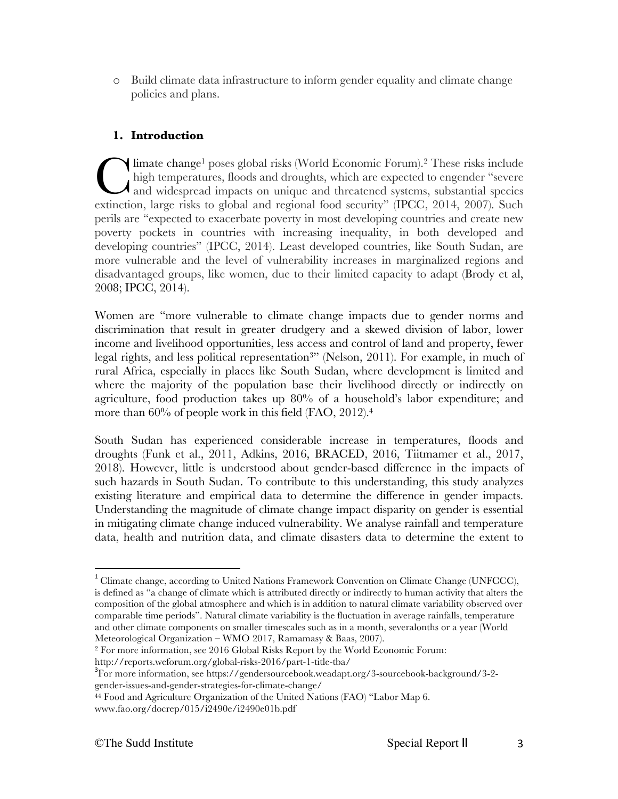o Build climate data infrastructure to inform gender equality and climate change policies and plans.

# **1. Introduction**

limate change<sup>1</sup> poses global risks (World Economic Forum).<sup>2</sup> These risks include high temperatures, floods and droughts, which are expected to engender "severe  $\lambda$  and widespread impacts on unique and threatened systems, substantial species limate change<sup>1</sup> poses global risks (World Economic Forum).<sup>2</sup> These risks include high temperatures, floods and droughts, which are expected to engender "severe and widespread impacts on unique and threatened systems, sub perils are "expected to exacerbate poverty in most developing countries and create new poverty pockets in countries with increasing inequality, in both developed and developing countries" (IPCC, 2014). Least developed countries, like South Sudan, are more vulnerable and the level of vulnerability increases in marginalized regions and disadvantaged groups, like women, due to their limited capacity to adapt (Brody et al, 2008; IPCC, 2014).

Women are "more vulnerable to climate change impacts due to gender norms and discrimination that result in greater drudgery and a skewed division of labor, lower income and livelihood opportunities, less access and control of land and property, fewer legal rights, and less political representation<sup>3</sup>" (Nelson, 2011). For example, in much of rural Africa, especially in places like South Sudan, where development is limited and where the majority of the population base their livelihood directly or indirectly on agriculture, food production takes up 80% of a household's labor expenditure; and more than 60% of people work in this field (FAO, 2012).<sup>4</sup>

South Sudan has experienced considerable increase in temperatures, floods and droughts (Funk et al., 2011, Adkins, 2016, BRACED, 2016, Tiitmamer et al., 2017, 2018). However, little is understood about gender-based difference in the impacts of such hazards in South Sudan. To contribute to this understanding, this study analyzes existing literature and empirical data to determine the difference in gender impacts. Understanding the magnitude of climate change impact disparity on gender is essential in mitigating climate change induced vulnerability. We analyse rainfall and temperature data, health and nutrition data, and climate disasters data to determine the extent to

http://reports.weforum.org/global-risks-2016/part-1-title-tba/ <sup>3</sup>

<sup>&</sup>lt;sup>1</sup> Climate change, according to United Nations Framework Convention on Climate Change (UNFCCC), is defined as "a change of climate which is attributed directly or indirectly to human activity that alters the composition of the global atmosphere and which is in addition to natural climate variability observed over comparable time periods". Natural climate variability is the fluctuation in average rainfalls, temperature and other climate components on smaller timescales such as in a month, severalonths or a year (World Meteorological Organization – WMO 2017, Ramamasy & Baas, 2007).

<sup>2</sup> For more information, see 2016 Global Risks Report by the World Economic Forum:

For more information, see https://gendersourcebook.weadapt.org/3-sourcebook-background/3-2 gender-issues-and-gender-strategies-for-climate-change/

<sup>44</sup> Food and Agriculture Organization of the United Nations (FAO) "Labor Map 6. www.fao.org/docrep/015/i2490e/i2490e01b.pdf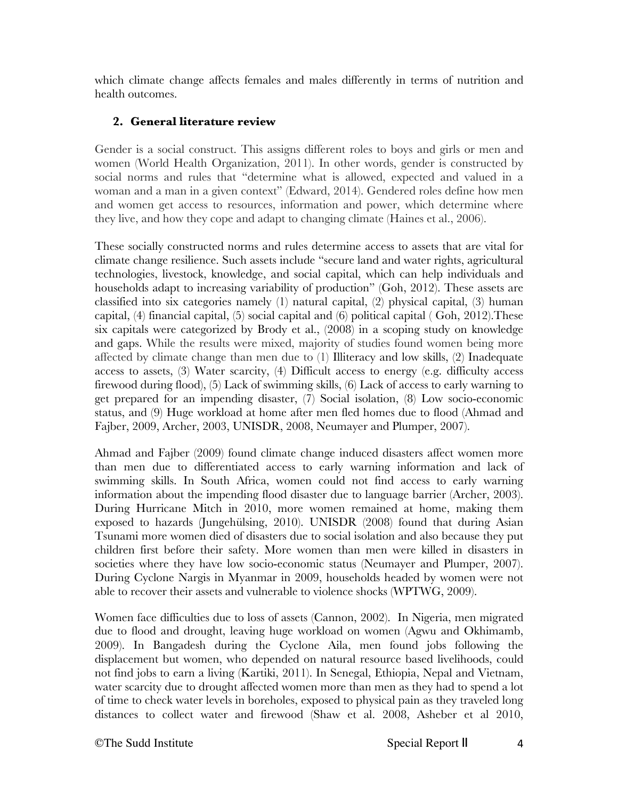which climate change affects females and males differently in terms of nutrition and health outcomes.

# **2. General literature review**

Gender is a social construct. This assigns different roles to boys and girls or men and women (World Health Organization, 2011). In other words, gender is constructed by social norms and rules that "determine what is allowed, expected and valued in a woman and a man in a given context" (Edward, 2014). Gendered roles define how men and women get access to resources, information and power, which determine where they live, and how they cope and adapt to changing climate (Haines et al., 2006).

These socially constructed norms and rules determine access to assets that are vital for climate change resilience. Such assets include "secure land and water rights, agricultural technologies, livestock, knowledge, and social capital, which can help individuals and households adapt to increasing variability of production" (Goh, 2012). These assets are classified into six categories namely (1) natural capital, (2) physical capital, (3) human capital, (4) financial capital, (5) social capital and (6) political capital ( Goh, 2012).These six capitals were categorized by Brody et al., (2008) in a scoping study on knowledge and gaps. While the results were mixed, majority of studies found women being more affected by climate change than men due to (1) Illiteracy and low skills, (2) Inadequate access to assets, (3) Water scarcity, (4) Difficult access to energy (e.g. difficulty access firewood during flood), (5) Lack of swimming skills, (6) Lack of access to early warning to get prepared for an impending disaster, (7) Social isolation, (8) Low socio-economic status, and (9) Huge workload at home after men fled homes due to flood (Ahmad and Fajber, 2009, Archer, 2003, UNISDR, 2008, Neumayer and Plumper, 2007).

Ahmad and Fajber (2009) found climate change induced disasters affect women more than men due to differentiated access to early warning information and lack of swimming skills. In South Africa, women could not find access to early warning information about the impending flood disaster due to language barrier (Archer, 2003). During Hurricane Mitch in 2010, more women remained at home, making them exposed to hazards (Jungehülsing, 2010). UNISDR (2008) found that during Asian Tsunami more women died of disasters due to social isolation and also because they put children first before their safety. More women than men were killed in disasters in societies where they have low socio-economic status (Neumayer and Plumper, 2007). During Cyclone Nargis in Myanmar in 2009, households headed by women were not able to recover their assets and vulnerable to violence shocks (WPTWG, 2009).

Women face difficulties due to loss of assets (Cannon, 2002). In Nigeria, men migrated due to flood and drought, leaving huge workload on women (Agwu and Okhimamb, 2009). In Bangadesh during the Cyclone Aila, men found jobs following the displacement but women, who depended on natural resource based livelihoods, could not find jobs to earn a living (Kartiki, 2011). In Senegal, Ethiopia, Nepal and Vietnam, water scarcity due to drought affected women more than men as they had to spend a lot of time to check water levels in boreholes, exposed to physical pain as they traveled long distances to collect water and firewood (Shaw et al. 2008, Asheber et al 2010,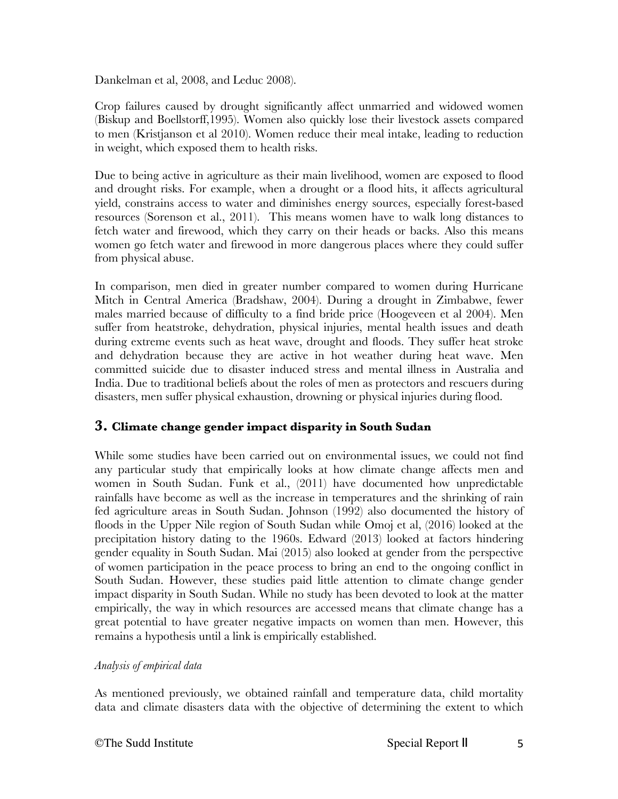Dankelman et al, 2008, and Leduc 2008).

Crop failures caused by drought significantly affect unmarried and widowed women (Biskup and Boellstorff,1995). Women also quickly lose their livestock assets compared to men (Kristjanson et al 2010). Women reduce their meal intake, leading to reduction in weight, which exposed them to health risks.

Due to being active in agriculture as their main livelihood, women are exposed to flood and drought risks. For example, when a drought or a flood hits, it affects agricultural yield, constrains access to water and diminishes energy sources, especially forest-based resources (Sorenson et al., 2011). This means women have to walk long distances to fetch water and firewood, which they carry on their heads or backs. Also this means women go fetch water and firewood in more dangerous places where they could suffer from physical abuse.

In comparison, men died in greater number compared to women during Hurricane Mitch in Central America (Bradshaw, 2004). During a drought in Zimbabwe, fewer males married because of difficulty to a find bride price (Hoogeveen et al 2004). Men suffer from heatstroke, dehydration, physical injuries, mental health issues and death during extreme events such as heat wave, drought and floods. They suffer heat stroke and dehydration because they are active in hot weather during heat wave. Men committed suicide due to disaster induced stress and mental illness in Australia and India. Due to traditional beliefs about the roles of men as protectors and rescuers during disasters, men suffer physical exhaustion, drowning or physical injuries during flood.

# **3. Climate change gender impact disparity in South Sudan**

While some studies have been carried out on environmental issues, we could not find any particular study that empirically looks at how climate change affects men and women in South Sudan. Funk et al., (2011) have documented how unpredictable rainfalls have become as well as the increase in temperatures and the shrinking of rain fed agriculture areas in South Sudan. Johnson (1992) also documented the history of floods in the Upper Nile region of South Sudan while Omoj et al, (2016) looked at the precipitation history dating to the 1960s. Edward (2013) looked at factors hindering gender equality in South Sudan. Mai (2015) also looked at gender from the perspective of women participation in the peace process to bring an end to the ongoing conflict in South Sudan. However, these studies paid little attention to climate change gender impact disparity in South Sudan. While no study has been devoted to look at the matter empirically, the way in which resources are accessed means that climate change has a great potential to have greater negative impacts on women than men. However, this remains a hypothesis until a link is empirically established.

# *Analysis of empirical data*

As mentioned previously, we obtained rainfall and temperature data, child mortality data and climate disasters data with the objective of determining the extent to which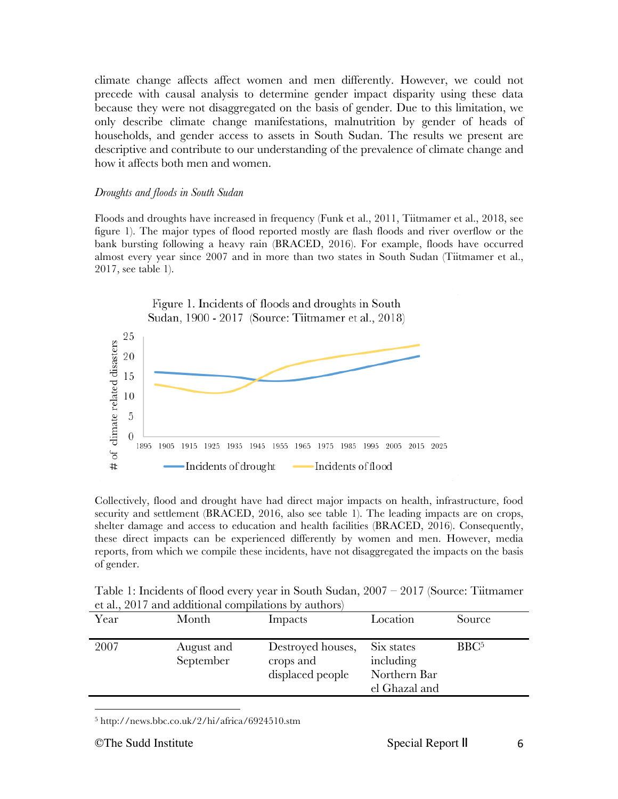climate change affects affect women and men differently. However, we could not precede with causal analysis to determine gender impact disparity using these data because they were not disaggregated on the basis of gender. Due to this limitation, we only describe climate change manifestations, malnutrition by gender of heads of households, and gender access to assets in South Sudan. The results we present are descriptive and contribute to our understanding of the prevalence of climate change and how it affects both men and women.

#### *Droughts and floods in South Sudan*

Floods and droughts have increased in frequency (Funk et al., 2011, Tiitmamer et al., 2018, see figure 1). The major types of flood reported mostly are flash floods and river overflow or the bank bursting following a heavy rain (BRACED, 2016). For example, floods have occurred almost every year since 2007 and in more than two states in South Sudan (Tiitmamer et al., 2017, see table 1).



Collectively, flood and drought have had direct major impacts on health, infrastructure, food security and settlement (BRACED, 2016, also see table 1). The leading impacts are on crops, shelter damage and access to education and health facilities (BRACED, 2016). Consequently, these direct impacts can be experienced differently by women and men. However, media reports, from which we compile these incidents, have not disaggregated the impacts on the basis of gender.

| Table 1: Incidents of flood every year in South Sudan, $2007 - 2017$ (Source: Tiitmamer |  |
|-----------------------------------------------------------------------------------------|--|
| et al., 2017 and additional compilations by authors)                                    |  |

| Year | Month                   | Impacts                                            | Location                                                 | Source           |
|------|-------------------------|----------------------------------------------------|----------------------------------------------------------|------------------|
| 2007 | August and<br>September | Destroyed houses,<br>crops and<br>displaced people | Six states<br>including<br>Northern Bar<br>el Ghazal and | BBC <sup>5</sup> |
|      |                         |                                                    |                                                          |                  |

<sup>5</sup> http://news.bbc.co.uk/2/hi/africa/6924510.stm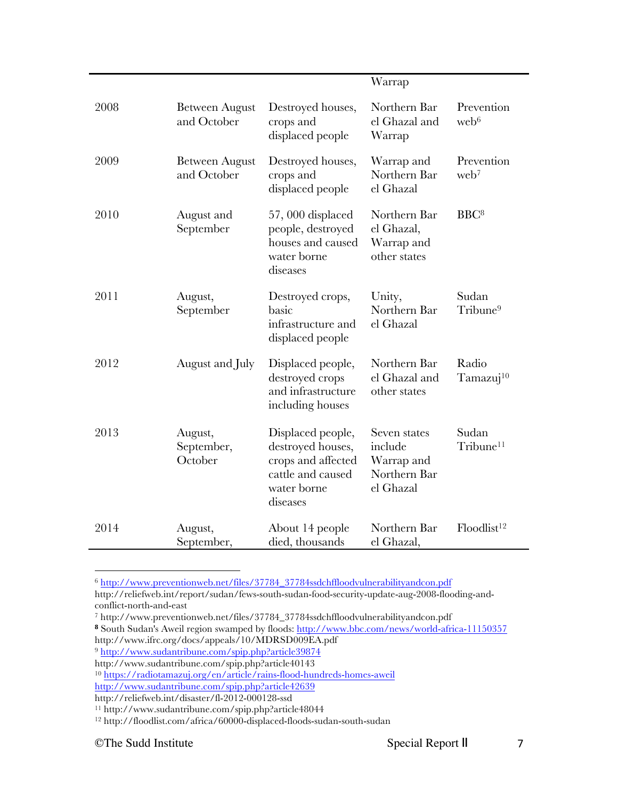|      |                                      |                                                                                                              | Warrap                                                             |                                |
|------|--------------------------------------|--------------------------------------------------------------------------------------------------------------|--------------------------------------------------------------------|--------------------------------|
| 2008 | <b>Between August</b><br>and October | Destroyed houses,<br>crops and<br>displaced people                                                           | Northern Bar<br>el Ghazal and<br>Warrap                            | Prevention<br>web <sup>6</sup> |
| 2009 | <b>Between August</b><br>and October | Destroyed houses,<br>crops and<br>displaced people                                                           | Warrap and<br>Northern Bar<br>el Ghazal                            | Prevention<br>web <sup>7</sup> |
| 2010 | August and<br>September              | $57,000$ displaced<br>people, destroyed<br>houses and caused<br>water borne<br>diseases                      | Northern Bar<br>el Ghazal,<br>Warrap and<br>other states           | BBC <sup>8</sup>               |
| 2011 | August,<br>September                 | Destroyed crops,<br>basic<br>infrastructure and<br>displaced people                                          | Unity,<br>Northern Bar<br>el Ghazal                                | Sudan<br>Tribune <sup>9</sup>  |
| 2012 | August and July                      | Displaced people,<br>destroyed crops<br>and infrastructure<br>including houses                               | Northern Bar<br>el Ghazal and<br>other states                      | Radio<br>Tamazuj <sup>10</sup> |
| 2013 | August,<br>September,<br>October     | Displaced people,<br>destroyed houses,<br>crops and affected<br>cattle and caused<br>water borne<br>diseases | Seven states<br>include<br>Warrap and<br>Northern Bar<br>el Ghazal | Sudan<br>Tribune <sup>11</sup> |
| 2014 | August,<br>September,                | About 14 people<br>died, thousands                                                                           | Northern Bar<br>el Ghazal,                                         | Floodlist <sup>12</sup>        |

<sup>6</sup> http://www.preventionweb.net/files/37784\_37784ssdchffloodvulnerabilityandcon.pdf http://reliefweb.int/report/sudan/fews-south-sudan-food-security-update-aug-2008-flooding-and-

Ĭ.

 

conflict-north-and-east

<sup>7</sup> http://www.preventionweb.net/files/37784\_37784ssdchffloodvulnerabilityandcon.pdf

<sup>8</sup> South Sudan's Aweil region swamped by floods: http://www.bbc.com/news/world-africa-11150357 http://www.ifrc.org/docs/appeals/10/MDRSD009EA.pdf

<sup>9</sup> http://www.sudantribune.com/spip.php?article39874

http://www.sudantribune.com/spip.php?article40143

<sup>10</sup> https://radiotamazuj.org/en/article/rains-flood-hundreds-homes-aweil

http://www.sudantribune.com/spip.php?article42639

http://reliefweb.int/disaster/fl-2012-000128-ssd

<sup>11</sup> http://www.sudantribune.com/spip.php?article48044

<sup>12</sup> http://floodlist.com/africa/60000-displaced-floods-sudan-south-sudan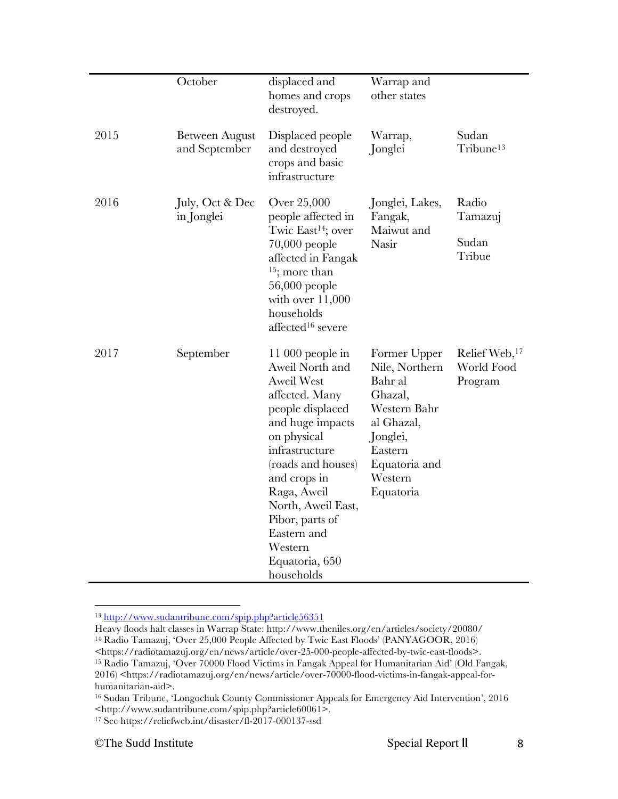|      | October                                | displaced and<br>homes and crops<br>destroyed.                                                                                                                                                                                                                                                                 | Warrap and<br>other states                                                                                                                         |                                                    |
|------|----------------------------------------|----------------------------------------------------------------------------------------------------------------------------------------------------------------------------------------------------------------------------------------------------------------------------------------------------------------|----------------------------------------------------------------------------------------------------------------------------------------------------|----------------------------------------------------|
| 2015 | <b>Between August</b><br>and September | Displaced people<br>and destroyed<br>crops and basic<br>infrastructure                                                                                                                                                                                                                                         | Warrap,<br>Jonglei                                                                                                                                 | Sudan<br>Tribune <sup>13</sup>                     |
| 2016 | July, Oct & Dec<br>in Jonglei          | Over 25,000<br>people affected in<br>Twic East <sup>14</sup> ; over<br>$70,000$ people<br>affected in Fangak<br>$15$ ; more than<br>56,000 people<br>with over $11,000$<br>households<br>affected <sup>16</sup> severe                                                                                         | Jonglei, Lakes,<br>Fangak,<br>Maiwut and<br>Nasir                                                                                                  | Radio<br>Tamazuj<br>Sudan<br>Tribue                |
| 2017 | September                              | $11\,000$ people in<br>Aweil North and<br><b>Aweil West</b><br>affected. Many<br>people displaced<br>and huge impacts<br>on physical<br>infrastructure<br>(roads and houses)<br>and crops in<br>Raga, Aweil<br>North, Aweil East,<br>Pibor, parts of<br>Eastern and<br>Western<br>Equatoria, 650<br>households | Former Upper<br>Nile, Northern<br>Bahr al<br>Ghazal,<br>Western Bahr<br>al Ghazal,<br>Jonglei,<br>Eastern<br>Equatoria and<br>Western<br>Equatoria | Relief Web, <sup>17</sup><br>World Food<br>Program |

 <sup>13</sup> http://www.sudantribune.com/spip.php?article56351

Heavy floods halt classes in Warrap State: http://www.theniles.org/en/articles/society/20080/ <sup>14</sup> Radio Tamazuj, 'Over 25,000 People Affected by Twic East Floods' (PANYAGOOR, 2016) <https://radiotamazuj.org/en/news/article/over-25-000-people-affected-by-twic-east-floods>. <sup>15</sup> Radio Tamazuj, 'Over 70000 Flood Victims in Fangak Appeal for Humanitarian Aid' (Old Fangak, 2016) <https://radiotamazuj.org/en/news/article/over-70000-flood-victims-in-fangak-appeal-forhumanitarian-aid>.

<sup>16</sup> Sudan Tribune, 'Longochuk County Commissioner Appeals for Emergency Aid Intervention', 2016 <http://www.sudantribune.com/spip.php?article60061>.

<sup>17</sup> See https://reliefweb.int/disaster/fl-2017-000137-ssd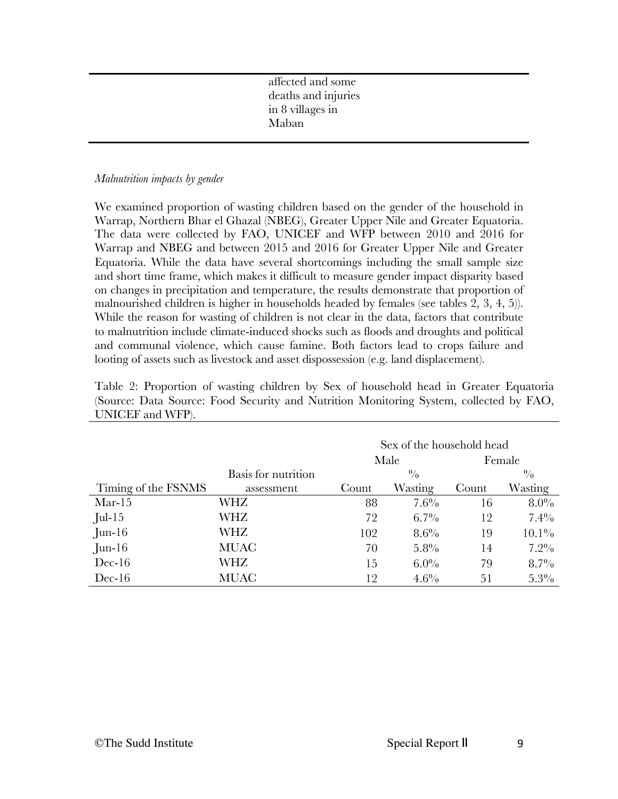affected and some deaths and injuries in 8 villages in Maban

#### *Malnutrition impacts by gender*

We examined proportion of wasting children based on the gender of the household in Warrap, Northern Bhar el Ghazal (NBEG), Greater Upper Nile and Greater Equatoria. The data were collected by FAO, UNICEF and WFP between 2010 and 2016 for Warrap and NBEG and between 2015 and 2016 for Greater Upper Nile and Greater Equatoria. While the data have several shortcomings including the small sample size and short time frame, which makes it difficult to measure gender impact disparity based on changes in precipitation and temperature, the results demonstrate that proportion of malnourished children is higher in households headed by females (see tables 2, 3, 4, 5)). While the reason for wasting of children is not clear in the data, factors that contribute to malnutrition include climate-induced shocks such as floods and droughts and political and communal violence, which cause famine. Both factors lead to crops failure and looting of assets such as livestock and asset dispossession (e.g. land displacement).

| Table 2: Proportion of wasting children by Sex of household head in Greater Equatoria  |  |  |  |  |
|----------------------------------------------------------------------------------------|--|--|--|--|
| (Source: Data Source: Food Security and Nutrition Monitoring System, collected by FAO, |  |  |  |  |
| UNICEF and WFP).                                                                       |  |  |  |  |

|                     |                     | Sex of the household head |             |       |             |
|---------------------|---------------------|---------------------------|-------------|-------|-------------|
|                     |                     |                           | Male        |       | Female      |
|                     | Basis for nutrition |                           | $^{0}/_{0}$ |       | $^{0}/_{0}$ |
| Timing of the FSNMS | assessment          | Count                     | Wasting     | Count | Wasting     |
| $Mar-15$            | WHZ                 | 88                        | $7.6\%$     | 16    | $8.0\%$     |
| Jul-15              | WHZ                 | 72                        | $6.7\%$     | 12    | $7.4\%$     |
| $Jun-16$            | WHZ                 | 102                       | $8.6\%$     | 19    | $10.1\%$    |
| $Jun-16$            | MUAC                | 70                        | $5.8\%$     | 14    | $7.2\%$     |
| $Dec-16$            | WHZ                 | 15                        | $6.0\%$     | 79    | $8.7\%$     |
| $Dec-16$            | MUAC                | 12                        | $4.6\%$     | 51    | $5.3\%$     |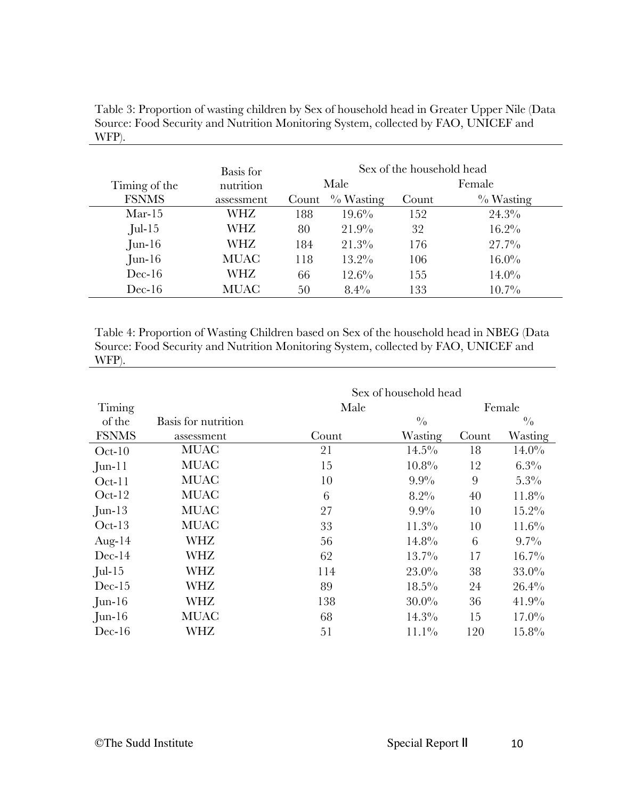|               | Basis for   |       | Sex of the household head |       |              |
|---------------|-------------|-------|---------------------------|-------|--------------|
| Timing of the | nutrition   |       | Male                      |       | Female       |
| <b>FSNMS</b>  | assessment  | Count | $\%$ Wasting              | Count | $\%$ Wasting |
| $Mar-15$      | WHZ         | 188   | $19.6\%$                  | 152   | $24.3\%$     |
| $Jul-15$      | WHZ         | 80    | 21.9%                     | 32    | $16.2\%$     |
| $J$ un-16     | WHZ         | 184   | $21.3\%$                  | 176   | $27.7\%$     |
| $J$ un-16     | <b>MUAC</b> | 118   | $13.2\%$                  | 106   | $16.0\%$     |
| $Dec-16$      | WHZ         | 66    | $12.6\%$                  | 155   | $14.0\%$     |
| $Dec-16$      | MUAC        | 50    | $8.4\%$                   | 133   | $10.7\%$     |

Table 3: Proportion of wasting children by Sex of household head in Greater Upper Nile (Data Source: Food Security and Nutrition Monitoring System, collected by FAO, UNICEF and WFP).

Table 4: Proportion of Wasting Children based on Sex of the household head in NBEG (Data Source: Food Security and Nutrition Monitoring System, collected by FAO, UNICEF and WFP).

|              |                     | Sex of household head |               |       |             |
|--------------|---------------------|-----------------------|---------------|-------|-------------|
| Timing       |                     | Male                  |               |       | Female      |
| of the       | Basis for nutrition |                       | $\frac{0}{0}$ |       | $^{0}/_{0}$ |
| <b>FSNMS</b> | assessment          | Count                 | Wasting       | Count | Wasting     |
| $Oct-10$     | <b>MUAC</b>         | 21                    | $14.5\%$      | 18    | $14.0\%$    |
| $J$ un-11    | <b>MUAC</b>         | 15                    | 10.8%         | 12    | $6.3\%$     |
| $Oct-11$     | <b>MUAC</b>         | 10                    | $9.9\%$       | 9     | $5.3\%$     |
| $Oct-12$     | <b>MUAC</b>         | 6                     | $8.2\%$       | 40    | $11.8\%$    |
| $Jun-13$     | <b>MUAC</b>         | 27                    | $9.9\%$       | 10    | $15.2\%$    |
| $Oct-13$     | <b>MUAC</b>         | 33                    | 11.3%         | 10    | 11.6%       |
| Aug- $14$    | <b>WHZ</b>          | 56                    | $14.8\%$      | 6     | $9.7\%$     |
| $Dec-14$     | WHZ                 | 62                    | $13.7\%$      | 17    | $16.7\%$    |
| $Jul-15$     | <b>WHZ</b>          | 114                   | $23.0\%$      | 38    | $33.0\%$    |
| $Dec-15$     | <b>WHZ</b>          | 89                    | $18.5\%$      | 24    | 26.4%       |
| $Jun-16$     | <b>WHZ</b>          | 138                   | $30.0\%$      | 36    | 41.9%       |
| $J$ un-16    | <b>MUAC</b>         | 68                    | $14.3\%$      | 15    | $17.0\%$    |
| $Dec-16$     | <b>WHZ</b>          | 51                    | $11.1\%$      | 120   | $15.8\%$    |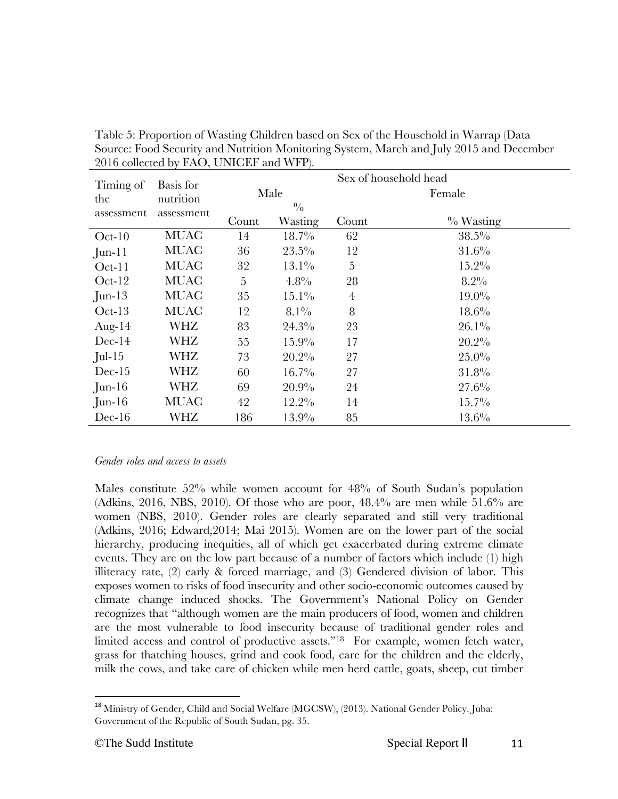| $2010$ concetted by $1110$ , $0111011$ and $1111$ . |             |                |                       |                |              |  |  |
|-----------------------------------------------------|-------------|----------------|-----------------------|----------------|--------------|--|--|
| Timing of                                           | Basis for   |                | Sex of household head |                |              |  |  |
| the                                                 | nutrition   |                | Male                  |                | Female       |  |  |
| assessment                                          | assessment  |                | $\frac{0}{0}$         |                |              |  |  |
|                                                     |             | Count          | Wasting               | Count          | $\%$ Wasting |  |  |
| $Oct-10$                                            | <b>MUAC</b> | 14             | $18.7\%$              | 62             | $38.5\%$     |  |  |
| $J$ un-11                                           | <b>MUAC</b> | 36             | $23.5\%$              | 12             | 31.6%        |  |  |
| $Oct-11$                                            | <b>MUAC</b> | 32             | $13.1\%$              | 5              | $15.2\%$     |  |  |
| $Oct-12$                                            | <b>MUAC</b> | $\overline{5}$ | 4.8%                  | 28             | $8.2\%$      |  |  |
| $Jun-13$                                            | <b>MUAC</b> | 35             | $15.1\%$              | $\overline{4}$ | $19.0\%$     |  |  |
| $Oct-13$                                            | <b>MUAC</b> | 12             | $8.1\%$               | 8              | $18.6\%$     |  |  |
| Aug- $14$                                           | WHZ         | 83             | $24.3\%$              | 23             | $26.1\%$     |  |  |
| $Dec-14$                                            | WHZ         | 55             | $15.9\%$              | 17             | 20.2%        |  |  |
| $Jul-15$                                            | <b>WHZ</b>  | 73             | 20.2%                 | 27             | $25.0\%$     |  |  |
| $Dec-15$                                            | <b>WHZ</b>  | 60             | $16.7\%$              | 27             | $31.8\%$     |  |  |
| $Jun-16$                                            | WHZ         | 69             | 20.9%                 | 24             | 27.6%        |  |  |
| $Jun-16$                                            | <b>MUAC</b> | 42             | $12.2\%$              | 14             | $15.7\%$     |  |  |
| $Dec-16$                                            | <b>WHZ</b>  | 186            | 13.9%                 | 85             | 13.6%        |  |  |

Table 5: Proportion of Wasting Children based on Sex of the Household in Warrap (Data Source: Food Security and Nutrition Monitoring System, March and July 2015 and December 2016 collected by FAO, UNICEF and WFP).

#### *Gender roles and access to assets*

Males constitute 52% while women account for 48% of South Sudan's population (Adkins, 2016, NBS, 2010). Of those who are poor, 48.4% are men while 51.6% are women (NBS, 2010). Gender roles are clearly separated and still very traditional (Adkins, 2016; Edward,2014; Mai 2015). Women are on the lower part of the social hierarchy, producing inequities, all of which get exacerbated during extreme climate events. They are on the low part because of a number of factors which include (1) high illiteracy rate, (2) early & forced marriage, and (3) Gendered division of labor. This exposes women to risks of food insecurity and other socio-economic outcomes caused by climate change induced shocks. The Government's National Policy on Gender recognizes that "although women are the main producers of food, women and children are the most vulnerable to food insecurity because of traditional gender roles and limited access and control of productive assets."<sup>18</sup> For example, women fetch water, grass for thatching houses, grind and cook food, care for the children and the elderly, milk the cows, and take care of chicken while men herd cattle, goats, sheep, cut timber

<sup>&</sup>lt;sup>18</sup> Ministry of Gender, Child and Social Welfare (MGCSW), (2013). National Gender Policy. Juba: Government of the Republic of South Sudan, pg. 35.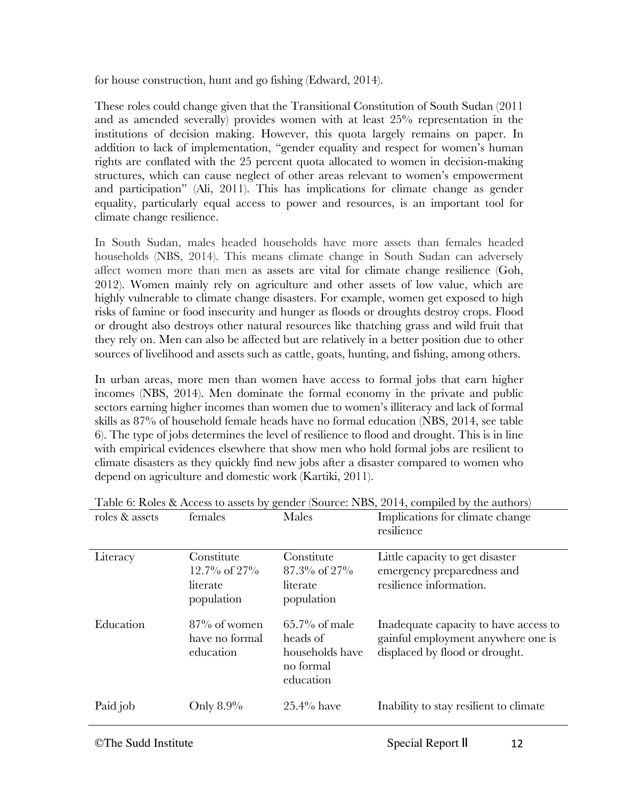for house construction, hunt and go fishing (Edward, 2014).

These roles could change given that the Transitional Constitution of South Sudan (2011 and as amended severally) provides women with at least 25% representation in the institutions of decision making. However, this quota largely remains on paper. In addition to lack of implementation, "gender equality and respect for women's human rights are conflated with the 25 percent quota allocated to women in decision-making structures, which can cause neglect of other areas relevant to women's empowerment and participation" (Ali, 2011). This has implications for climate change as gender equality, particularly equal access to power and resources, is an important tool for climate change resilience.

In South Sudan, males headed households have more assets than females headed households (NBS, 2014). This means climate change in South Sudan can adversely affect women more than men as assets are vital for climate change resilience (Goh, 2012). Women mainly rely on agriculture and other assets of low value, which are highly vulnerable to climate change disasters. For example, women get exposed to high risks of famine or food insecurity and hunger as floods or droughts destroy crops. Flood or drought also destroys other natural resources like thatching grass and wild fruit that they rely on. Men can also be affected but are relatively in a better position due to other sources of livelihood and assets such as cattle, goats, hunting, and fishing, among others.

In urban areas, more men than women have access to formal jobs that earn higher incomes (NBS, 2014). Men dominate the formal economy in the private and public sectors earning higher incomes than women due to women's illiteracy and lack of formal skills as 87% of household female heads have no formal education (NBS, 2014, see table 6). The type of jobs determines the level of resilience to flood and drought. This is in line with empirical evidences elsewhere that show men who hold formal jobs are resilient to climate disasters as they quickly find new jobs after a disaster compared to women who depend on agriculture and domestic work (Kartiki, 2011).

| roles & assets | റ-<br>females                                              | Males                                                                     | Implications for climate change<br>resilience                                                                 |
|----------------|------------------------------------------------------------|---------------------------------------------------------------------------|---------------------------------------------------------------------------------------------------------------|
| Literacy       | Constitute<br>$12.7\%$ of $27\%$<br>literate<br>population | Constitute<br>$87.3\%$ of $27\%$<br>literate<br>population                | Little capacity to get disaster<br>emergency preparedness and<br>resilience information.                      |
| Education      | $87\%$ of women<br>have no formal<br>education             | $65.7\%$ of male<br>heads of<br>households have<br>no formal<br>education | Inadequate capacity to have access to<br>gainful employment anywhere one is<br>displaced by flood or drought. |
| Paid job       | Only 8.9%                                                  | $25.4\%$ have                                                             | Inability to stay resilient to climate                                                                        |

Table 6: Roles & Access to assets by gender (Source: NBS, 2014, compiled by the authors)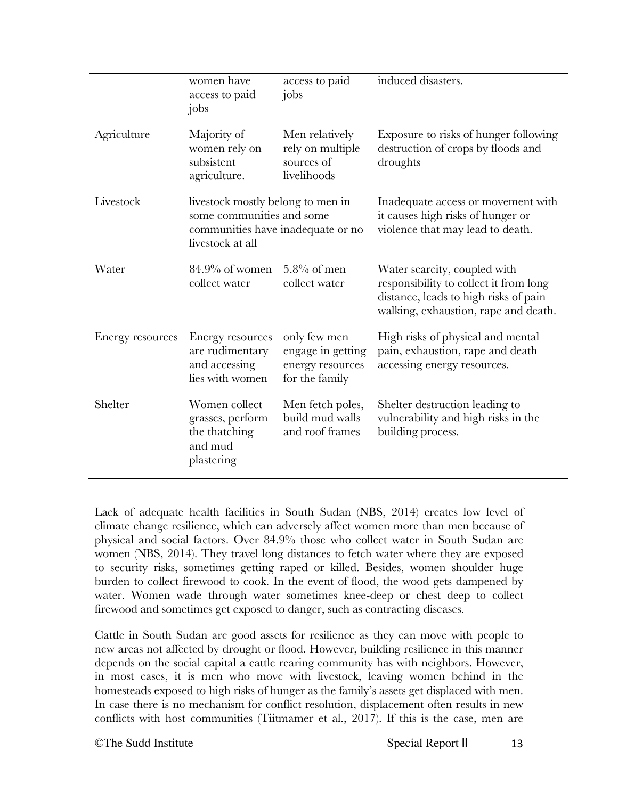|                  | women have<br>access to paid<br>jobs                                                                                    | access to paid<br>jobs                                                  | induced disasters.                                                                                                                                      |
|------------------|-------------------------------------------------------------------------------------------------------------------------|-------------------------------------------------------------------------|---------------------------------------------------------------------------------------------------------------------------------------------------------|
| Agriculture      | Majority of<br>women rely on<br>subsistent<br>agriculture.                                                              | Men relatively<br>rely on multiple<br>sources of<br>livelihoods         | Exposure to risks of hunger following<br>destruction of crops by floods and<br>droughts                                                                 |
| Livestock        | livestock mostly belong to men in<br>some communities and some<br>communities have inadequate or no<br>livestock at all |                                                                         | Inadequate access or movement with<br>it causes high risks of hunger or<br>violence that may lead to death.                                             |
| Water            | $84.9\%$ of women<br>collect water                                                                                      | $5.8\%$ of men<br>collect water                                         | Water scarcity, coupled with<br>responsibility to collect it from long<br>distance, leads to high risks of pain<br>walking, exhaustion, rape and death. |
| Energy resources | Energy resources<br>are rudimentary<br>and accessing<br>lies with women                                                 | only few men<br>engage in getting<br>energy resources<br>for the family | High risks of physical and mental<br>pain, exhaustion, rape and death<br>accessing energy resources.                                                    |
| Shelter          | Women collect<br>grasses, perform<br>the thatching<br>and mud<br>plastering                                             | Men fetch poles,<br>build mud walls<br>and roof frames                  | Shelter destruction leading to<br>vulnerability and high risks in the<br>building process.                                                              |

Lack of adequate health facilities in South Sudan (NBS, 2014) creates low level of climate change resilience, which can adversely affect women more than men because of physical and social factors. Over 84.9% those who collect water in South Sudan are women (NBS, 2014). They travel long distances to fetch water where they are exposed to security risks, sometimes getting raped or killed. Besides, women shoulder huge burden to collect firewood to cook. In the event of flood, the wood gets dampened by water. Women wade through water sometimes knee-deep or chest deep to collect firewood and sometimes get exposed to danger, such as contracting diseases.

Cattle in South Sudan are good assets for resilience as they can move with people to new areas not affected by drought or flood. However, building resilience in this manner depends on the social capital a cattle rearing community has with neighbors. However, in most cases, it is men who move with livestock, leaving women behind in the homesteads exposed to high risks of hunger as the family's assets get displaced with men. In case there is no mechanism for conflict resolution, displacement often results in new conflicts with host communities (Tiitmamer et al., 2017). If this is the case, men are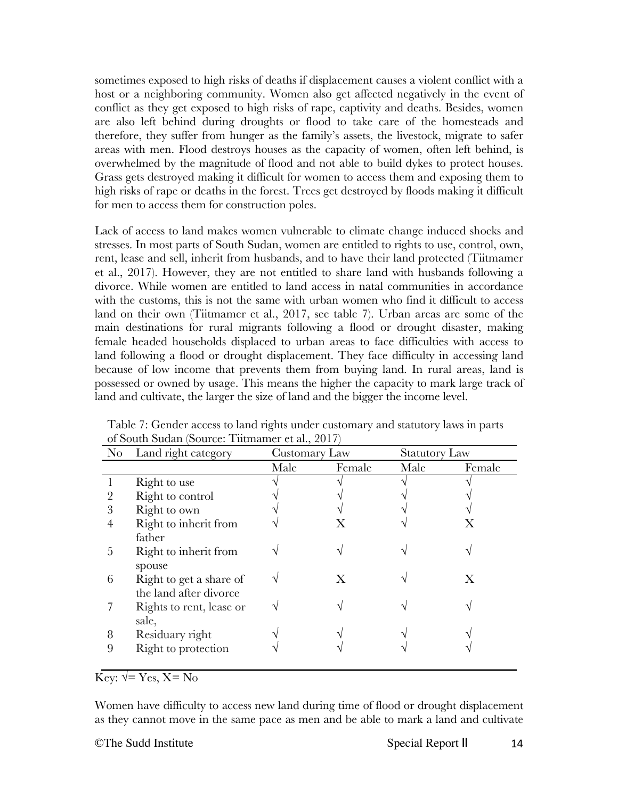sometimes exposed to high risks of deaths if displacement causes a violent conflict with a host or a neighboring community. Women also get affected negatively in the event of conflict as they get exposed to high risks of rape, captivity and deaths. Besides, women are also left behind during droughts or flood to take care of the homesteads and therefore, they suffer from hunger as the family's assets, the livestock, migrate to safer areas with men. Flood destroys houses as the capacity of women, often left behind, is overwhelmed by the magnitude of flood and not able to build dykes to protect houses. Grass gets destroyed making it difficult for women to access them and exposing them to high risks of rape or deaths in the forest. Trees get destroyed by floods making it difficult for men to access them for construction poles.

Lack of access to land makes women vulnerable to climate change induced shocks and stresses. In most parts of South Sudan, women are entitled to rights to use, control, own, rent, lease and sell, inherit from husbands, and to have their land protected (Tiitmamer et al., 2017). However, they are not entitled to share land with husbands following a divorce. While women are entitled to land access in natal communities in accordance with the customs, this is not the same with urban women who find it difficult to access land on their own (Tiitmamer et al., 2017, see table 7). Urban areas are some of the main destinations for rural migrants following a flood or drought disaster, making female headed households displaced to urban areas to face difficulties with access to land following a flood or drought displacement. They face difficulty in accessing land because of low income that prevents them from buying land. In rural areas, land is possessed or owned by usage. This means the higher the capacity to mark large track of land and cultivate, the larger the size of land and the bigger the income level.

| $\rm No$ | Land right category      | Customary Law |        | <b>Statutory Law</b> |        |
|----------|--------------------------|---------------|--------|----------------------|--------|
|          |                          | Male          | Female | Male                 | Female |
|          | Right to use             |               |        |                      |        |
|          | Right to control         |               |        |                      |        |
| 3        | Right to own             |               |        |                      |        |
| 4        | Right to inherit from    |               |        |                      |        |
|          | father                   |               |        |                      |        |
| 5        | Right to inherit from    |               |        |                      |        |
|          | spouse                   |               |        |                      |        |
| 6        | Right to get a share of  |               |        |                      | X      |
|          | the land after divorce   |               |        |                      |        |
|          | Rights to rent, lease or |               |        |                      |        |
|          | sale,                    |               |        |                      |        |
| 8        | Residuary right          |               |        |                      |        |
| 9        | Right to protection      |               |        |                      |        |
|          |                          |               |        |                      |        |

Table 7: Gender access to land rights under customary and statutory laws in parts of South Sudan (Source: Tiitmamer et al., 2017)

Key:  $\sqrt{ }$  = Yes, X = No

Women have difficulty to access new land during time of flood or drought displacement as they cannot move in the same pace as men and be able to mark a land and cultivate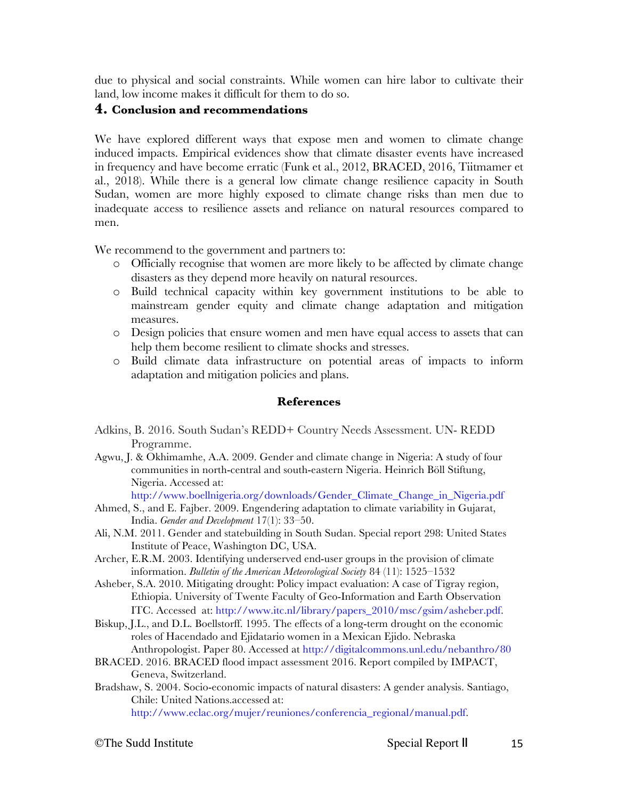due to physical and social constraints. While women can hire labor to cultivate their land, low income makes it difficult for them to do so.

## **4. Conclusion and recommendations**

We have explored different ways that expose men and women to climate change induced impacts. Empirical evidences show that climate disaster events have increased in frequency and have become erratic (Funk et al., 2012, BRACED, 2016, Tiitmamer et al., 2018). While there is a general low climate change resilience capacity in South Sudan, women are more highly exposed to climate change risks than men due to inadequate access to resilience assets and reliance on natural resources compared to men.

We recommend to the government and partners to:

- o Officially recognise that women are more likely to be affected by climate change disasters as they depend more heavily on natural resources.
- o Build technical capacity within key government institutions to be able to mainstream gender equity and climate change adaptation and mitigation measures.
- o Design policies that ensure women and men have equal access to assets that can help them become resilient to climate shocks and stresses.
- o Build climate data infrastructure on potential areas of impacts to inform adaptation and mitigation policies and plans.

#### **References**

- Adkins, B. 2016. South Sudan's REDD+ Country Needs Assessment. UN- REDD Programme.
- Agwu, J. & Okhimamhe, A.A. 2009. Gender and climate change in Nigeria: A study of four communities in north-central and south-eastern Nigeria. Heinrich Böll Stiftung, Nigeria. Accessed at:

http://www.boellnigeria.org/downloads/Gender\_Climate\_Change\_in\_Nigeria.pdf

- Ahmed, S., and E. Fajber. 2009. Engendering adaptation to climate variability in Gujarat, India. *Gender and Development* 17(1): 33–50.
- Ali, N.M. 2011. Gender and statebuilding in South Sudan. Special report 298: United States Institute of Peace, Washington DC, USA.
- Archer, E.R.M. 2003. Identifying underserved end-user groups in the provision of climate information. *Bulletin of the American Meteorological Society* 84 (11): 1525–1532
- Asheber, S.A. 2010. Mitigating drought: Policy impact evaluation: A case of Tigray region, Ethiopia. University of Twente Faculty of Geo-Information and Earth Observation ITC. Accessed at: http://www.itc.nl/library/papers\_2010/msc/gsim/asheber.pdf.
- Biskup, J.L., and D.L. Boellstorff. 1995. The effects of a long-term drought on the economic roles of Hacendado and Ejidatario women in a Mexican Ejido. Nebraska
- Anthropologist. Paper 80. Accessed at http://digitalcommons.unl.edu/nebanthro/80 BRACED. 2016. BRACED flood impact assessment 2016. Report compiled by IMPACT,
- Geneva, Switzerland. Bradshaw, S. 2004. Socio-economic impacts of natural disasters: A gender analysis. Santiago, Chile: United Nations.accessed at: http://www.eclac.org/mujer/reuniones/conferencia\_regional/manual.pdf.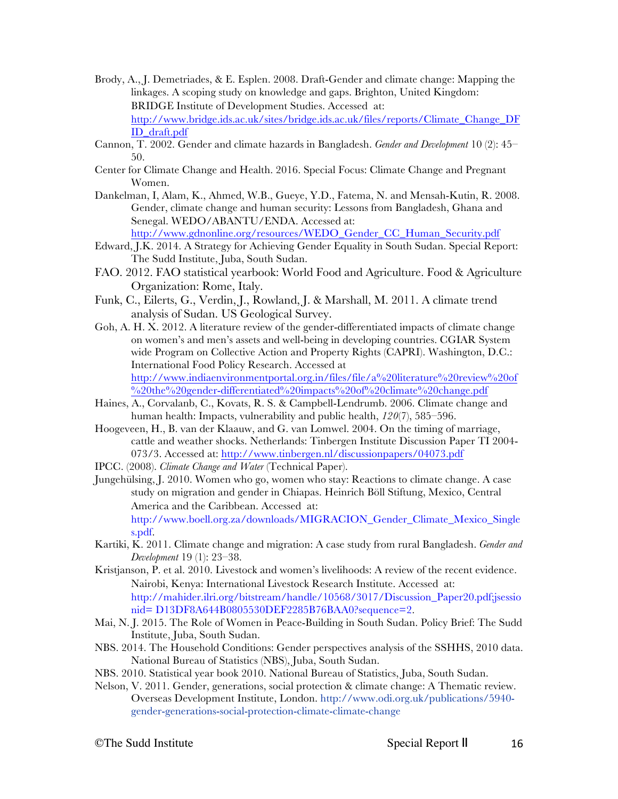- Brody, A., J. Demetriades, & E. Esplen. 2008. Draft-Gender and climate change: Mapping the linkages. A scoping study on knowledge and gaps. Brighton, United Kingdom: BRIDGE Institute of Development Studies. Accessed at: http://www.bridge.ids.ac.uk/sites/bridge.ids.ac.uk/files/reports/Climate\_Change\_DF ID\_draft.pdf
- Cannon, T. 2002. Gender and climate hazards in Bangladesh. *Gender and Development* 10 (2): 45– 50.
- Center for Climate Change and Health. 2016. Special Focus: Climate Change and Pregnant Women.
- Dankelman, I, Alam, K., Ahmed, W.B., Gueye, Y.D., Fatema, N. and Mensah-Kutin, R. 2008. Gender, climate change and human security: Lessons from Bangladesh, Ghana and Senegal. WEDO/ABANTU/ENDA. Accessed at:

http://www.gdnonline.org/resources/WEDO\_Gender\_CC\_Human\_Security.pdf

- Edward, J.K. 2014. A Strategy for Achieving Gender Equality in South Sudan. Special Report: The Sudd Institute, Juba, South Sudan.
- FAO. 2012. FAO statistical yearbook: World Food and Agriculture. Food & Agriculture Organization: Rome, Italy.
- Funk, C., Eilerts, G., Verdin, J., Rowland, J. & Marshall, M. 2011. A climate trend analysis of Sudan. US Geological Survey.
- Goh, A. H. X. 2012. A literature review of the gender-differentiated impacts of climate change on women's and men's assets and well-being in developing countries. CGIAR System wide Program on Collective Action and Property Rights (CAPRI). Washington, D.C.: International Food Policy Research. Accessed at http://www.indiaenvironmentportal.org.in/files/file/a%20literature%20review%20of %20the%20gender-differentiated%20impacts%20of%20climate%20change.pdf
- Haines, A., Corvalanb, C., Kovats, R. S. & Campbell-Lendrumb. 2006. Climate change and human health: Impacts, vulnerability and public health, *120*(7), 585–596.
- Hoogeveen, H., B. van der Klaauw, and G. van Lomwel. 2004. On the timing of marriage, cattle and weather shocks. Netherlands: Tinbergen Institute Discussion Paper TI 2004- 073/3. Accessed at: http://www.tinbergen.nl/discussionpapers/04073.pdf
- IPCC. (2008). *Climate Change and Water* (Technical Paper).
- Jungehülsing, J. 2010. Women who go, women who stay: Reactions to climate change. A case study on migration and gender in Chiapas. Heinrich Böll Stiftung, Mexico, Central America and the Caribbean. Accessed at: http://www.boell.org.za/downloads/MIGRACION\_Gender\_Climate\_Mexico\_Single s.pdf.
- Kartiki, K. 2011. Climate change and migration: A case study from rural Bangladesh. *Gender and Development* 19 (1): 23–38.
- Kristjanson, P. et al. 2010. Livestock and women's livelihoods: A review of the recent evidence. Nairobi, Kenya: International Livestock Research Institute. Accessed at: http://mahider.ilri.org/bitstream/handle/10568/3017/Discussion\_Paper20.pdf;jsessio nid= D13DF8A644B0805530DEF2285B76BAA0?sequence=2.
- Mai, N. J. 2015. The Role of Women in Peace-Building in South Sudan. Policy Brief: The Sudd Institute, Juba, South Sudan.
- NBS. 2014. The Household Conditions: Gender perspectives analysis of the SSHHS, 2010 data. National Bureau of Statistics (NBS), Juba, South Sudan.
- NBS. 2010. Statistical year book 2010. National Bureau of Statistics, Juba, South Sudan.
- Nelson, V. 2011. Gender, generations, social protection & climate change: A Thematic review. Overseas Development Institute, London. http://www.odi.org.uk/publications/5940 gender-generations-social-protection-climate-climate-change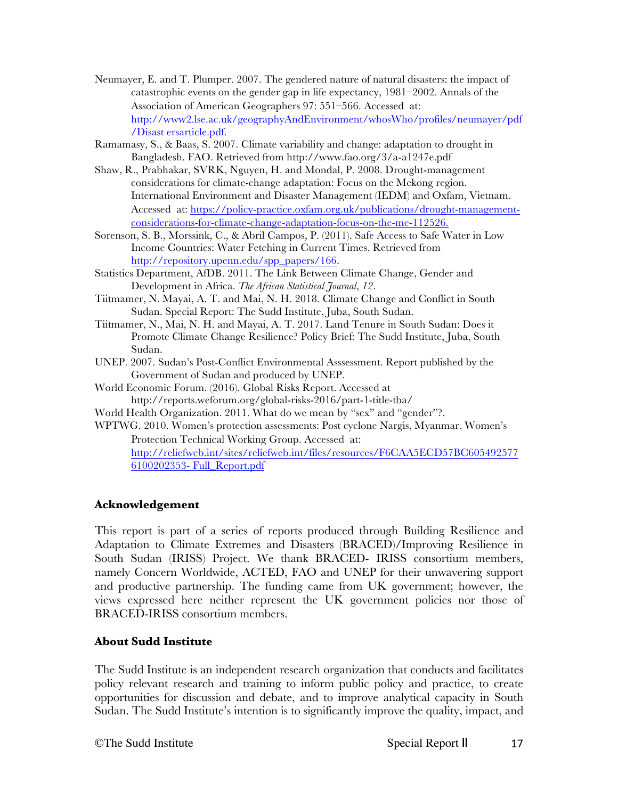- Neumayer, E. and T. Plumper. 2007. The gendered nature of natural disasters: the impact of catastrophic events on the gender gap in life expectancy, 1981–2002. Annals of the Association of American Geographers 97: 551–566. Accessed at: http://www2.lse.ac.uk/geographyAndEnvironment/whosWho/profiles/neumayer/pdf /Disast ersarticle.pdf.
- Ramamasy, S., & Baas, S. 2007. Climate variability and change: adaptation to drought in Bangladesh. FAO. Retrieved from http://www.fao.org/3/a-a1247e.pdf
- Shaw, R., Prabhakar, SVRK, Nguyen, H. and Mondal, P. 2008. Drought-management considerations for climate-change adaptation: Focus on the Mekong region. International Environment and Disaster Management (IEDM) and Oxfam, Vietnam. Accessed at: https://policy-practice.oxfam.org.uk/publications/drought-managementconsiderations-for-climate-change-adaptation-focus-on-the-me-112526.
- Sorenson, S. B., Morssink, C., & Abril Campos, P. (2011). Safe Access to Safe Water in Low Income Countries: Water Fetching in Current Times. Retrieved from http://repository.upenn.edu/spp\_papers/166.
- Statistics Department, AfDB. 2011. The Link Between Climate Change, Gender and Development in Africa. *The African Statistical Journal*, *12*.
- Tiitmamer, N. Mayai, A. T. and Mai, N. H. 2018. Climate Change and Conflict in South Sudan. Special Report: The Sudd Institute, Juba, South Sudan.
- Tiitmamer, N., Mai, N. H. and Mayai, A. T. 2017. Land Tenure in South Sudan: Does it Promote Climate Change Resilience? Policy Brief: The Sudd Institute, Juba, South Sudan.
- UNEP. 2007. Sudan's Post-Conflict Environmental Asssessment. Report published by the Government of Sudan and produced by UNEP.
- World Economic Forum. (2016). Global Risks Report. Accessed at http://reports.weforum.org/global-risks-2016/part-1-title-tba/
- World Health Organization. 2011. What do we mean by "sex" and "gender"?.
- WPTWG. 2010. Women's protection assessments: Post cyclone Nargis, Myanmar. Women's Protection Technical Working Group. Accessed at: http://reliefweb.int/sites/reliefweb.int/files/resources/F6CAA5ECD57BC605492577 6100202353- Full\_Report.pdf

## **Acknowledgement**

This report is part of a series of reports produced through Building Resilience and Adaptation to Climate Extremes and Disasters (BRACED)/Improving Resilience in South Sudan (IRISS) Project. We thank BRACED- IRISS consortium members, namely Concern Worldwide, ACTED, FAO and UNEP for their unwavering support and productive partnership. The funding came from UK government; however, the views expressed here neither represent the UK government policies nor those of BRACED-IRISS consortium members.

#### **About Sudd Institute**

The Sudd Institute is an independent research organization that conducts and facilitates policy relevant research and training to inform public policy and practice, to create opportunities for discussion and debate, and to improve analytical capacity in South Sudan. The Sudd Institute's intention is to significantly improve the quality, impact, and